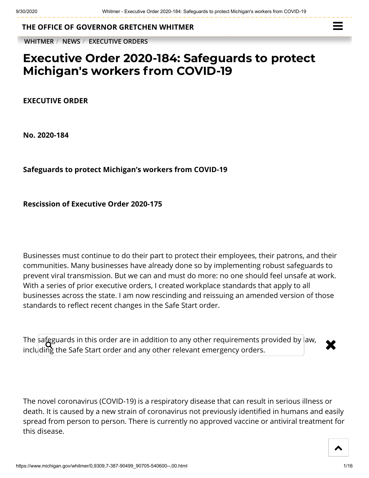**THE OFFICE OF [GOVERNOR GRETCHEN WHITMER](https://www.michigan.gov/whitmer/)**

**[WHITMER](https://www.michigan.gov/whitmer/)** / **[NEWS](https://www.michigan.gov/whitmer/0,9309,7-387-90499---,00.html)** / **[EXECUTIVE ORDERS](https://www.michigan.gov/whitmer/0,9309,7-387-90499_90705---,00.html)**



## **Executive Order 2020-184: Safeguards to protect Michigan's workers from COVID-19**

**EXECUTIVE ORDER**

**No. 2020-184**

**Safeguards to protect Michigan's workers from COVID-19**

**Rescission of Executive Order 2020-175**

Businesses must continue to do their part to protect their employees, their patrons, and their communities. Many businesses have already done so by implementing robust safeguards to prevent viral transmission. But we can and must do more: no one should feel unsafe at work. With a series of prior executive orders, I created workplace standards that apply to all businesses across the state. I am now rescinding and reissuing an amended version of those standards to reflect recent changes in the Safe Start order.

The safeguards in this order are in addition to any other requirements provided by law,  $\begin{array}{c} \bigstar \ \end{array}$ including the Safe Start order and any other relevant emergency orders.

The novel coronavirus (COVID-19) is a respiratory disease that can result in serious illness or death. It is caused by a new strain of coronavirus not previously identified in humans and easily spread from person to person. There is currently no approved vaccine or antiviral treatment for this disease.

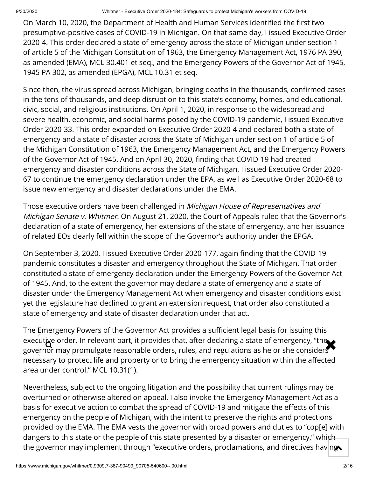On March 10, 2020, the Department of Health and Human Services identified the first two presumptive-positive cases of COVID-19 in Michigan. On that same day, I issued Executive Order 2020-4. This order declared a state of emergency across the state of Michigan under section 1 of article 5 of the Michigan Constitution of 1963, the Emergency Management Act, 1976 PA 390, as amended (EMA), MCL 30.401 et seq., and the Emergency Powers of the Governor Act of 1945, 1945 PA 302, as amended (EPGA), MCL 10.31 et seq.

Since then, the virus spread across Michigan, bringing deaths in the thousands, confirmed cases in the tens of thousands, and deep disruption to this state's economy, homes, and educational, civic, social, and religious institutions. On April 1, 2020, in response to the widespread and severe health, economic, and social harms posed by the COVID-19 pandemic, I issued Executive Order 2020-33. This order expanded on Executive Order 2020-4 and declared both a state of emergency and a state of disaster across the State of Michigan under section 1 of article 5 of the Michigan Constitution of 1963, the Emergency Management Act, and the Emergency Powers of the Governor Act of 1945. And on April 30, 2020, finding that COVID-19 had created emergency and disaster conditions across the State of Michigan, I issued Executive Order 2020- 67 to continue the emergency declaration under the EPA, as well as Executive Order 2020-68 to issue new emergency and disaster declarations under the EMA.

Those executive orders have been challenged in Michigan House of Representatives and Michigan Senate v. Whitmer. On August 21, 2020, the Court of Appeals ruled that the Governor's declaration of a state of emergency, her extensions of the state of emergency, and her issuance of related EOs clearly fell within the scope of the Governor's authority under the EPGA.

On September 3, 2020, I issued Executive Order 2020-177, again finding that the COVID-19 pandemic constitutes a disaster and emergency throughout the State of Michigan. That order constituted a state of emergency declaration under the Emergency Powers of the Governor Act of 1945. And, to the extent the governor may declare a state of emergency and a state of disaster under the Emergency Management Act when emergency and disaster conditions exist yet the legislature had declined to grant an extension request, that order also constituted a state of emergency and state of disaster declaration under that act.

The Emergency Powers of the Governor Act provides a sufficient legal basis for issuing this executive order. In relevant part, it provides that, after declaring a state of emergency, "the second the sec<br>governor may promulgate reasonable orders, rules, and regulations as he or she considers governor may promulgate reasonable orders, rules, and regulations as he or she considers necessary to protect life and property or to bring the emergency situation within the affected area under control." MCL 10.31(1).

Nevertheless, subject to the ongoing litigation and the possibility that current rulings may be overturned or otherwise altered on appeal, I also invoke the Emergency Management Act as a basis for executive action to combat the spread of COVID-19 and mitigate the effects of this emergency on the people of Michigan, with the intent to preserve the rights and protections provided by the EMA. The EMA vests the governor with broad powers and duties to "cop[e] with dangers to this state or the people of this state presented by a disaster or emergency," which the governor may implement through "executive orders, proclamations, and directives having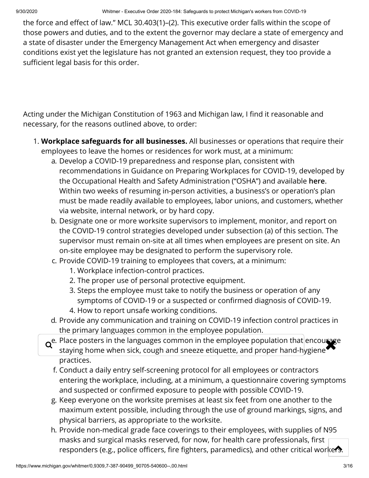the force and effect of law." MCL 30.403(1)–(2). This executive order falls within the scope of those powers and duties, and to the extent the governor may declare a state of emergency and a state of disaster under the Emergency Management Act when emergency and disaster conditions exist yet the legislature has not granted an extension request, they too provide a sufficient legal basis for this order.

Acting under the Michigan Constitution of 1963 and Michigan law, I find it reasonable and necessary, for the reasons outlined above, to order:

- 1. **Workplace safeguards for all businesses.** All businesses or operations that require their employees to leave the homes or residences for work must, at a minimum:
	- a. Develop a COVID-19 preparedness and response plan, consistent with recommendations in Guidance on Preparing Workplaces for COVID-19, developed by the Occupational Health and Safety Administration ("OSHA") and available **[here](https://www.osha.gov/Publications/OSHA3990.pdf)**. Within two weeks of resuming in-person activities, a business's or operation's plan must be made readily available to employees, labor unions, and customers, whether via website, internal network, or by hard copy.
	- b. Designate one or more worksite supervisors to implement, monitor, and report on the COVID-19 control strategies developed under subsection (a) of this section. The supervisor must remain on-site at all times when employees are present on site. An on-site employee may be designated to perform the supervisory role.
	- c. Provide COVID-19 training to employees that covers, at a minimum:
		- 1. Workplace infection-control practices.
		- 2. The proper use of personal protective equipment.
		- 3. Steps the employee must take to notify the business or operation of any symptoms of COVID-19 or a suspected or confirmed diagnosis of COVID-19.
		- 4. How to report unsafe working conditions.
	- d. Provide any communication and training on COVID-19 infection control practices in the primary languages common in the employee population.
	- $\mathsf{Q}^\mathsf{e.}$  Place posters in the languages common in the employee population that encourage<br>staving home when sick, cough and sneeze etiquette, and proper hand-hygiene staying home when sick, cough and sneeze etiquette, and proper hand-hygiene practices.
		- f. Conduct a daily entry self-screening protocol for all employees or contractors entering the workplace, including, at a minimum, a questionnaire covering symptoms and suspected or confirmed exposure to people with possible COVID-19.
		- g. Keep everyone on the worksite premises at least six feet from one another to the maximum extent possible, including through the use of ground markings, signs, and physical barriers, as appropriate to the worksite.
		- h. Provide non-medical grade face coverings to their employees, with supplies of N95 masks and surgical masks reserved, for now, for health care professionals, first responders (e.g., police officers, fire fighters, paramedics), and other critical workers.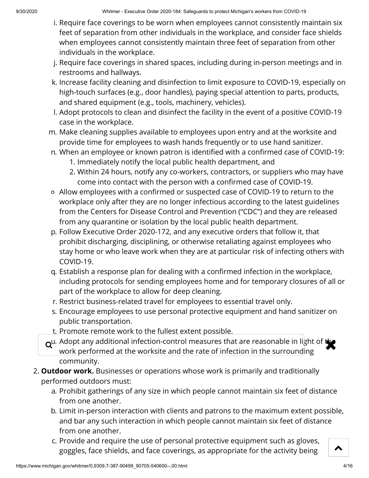- i. Require face coverings to be worn when employees cannot consistently maintain six feet of separation from other individuals in the workplace, and consider face shields when employees cannot consistently maintain three feet of separation from other individuals in the workplace.
- j. Require face coverings in shared spaces, including during in-person meetings and in restrooms and hallways.
- k. Increase facility cleaning and disinfection to limit exposure to COVID-19, especially on high-touch surfaces (e.g., door handles), paying special attention to parts, products, and shared equipment (e.g., tools, machinery, vehicles).
- l. Adopt protocols to clean and disinfect the facility in the event of a positive COVID-19 case in the workplace.
- m. Make cleaning supplies available to employees upon entry and at the worksite and provide time for employees to wash hands frequently or to use hand sanitizer.
- n. When an employee or known patron is identified with a confirmed case of COVID-19:
	- 1. Immediately notify the local public health department, and
	- 2. Within 24 hours, notify any co-workers, contractors, or suppliers who may have come into contact with the person with a confirmed case of COVID-19.
- o Allow employees with a confirmed or suspected case of COVID-19 to return to the workplace only after they are no longer infectious according to the latest guidelines from the Centers for Disease Control and Prevention ("CDC") and they are released from any quarantine or isolation by the local public health department.
- p. Follow Executive Order 2020-172, and any executive orders that follow it, that prohibit discharging, disciplining, or otherwise retaliating against employees who stay home or who leave work when they are at particular risk of infecting others with COVID-19.
- q. Establish a response plan for dealing with a confirmed infection in the workplace, including protocols for sending employees home and for temporary closures of all or part of the workplace to allow for deep cleaning.
- r. Restrict business-related travel for employees to essential travel only.
- s. Encourage employees to use personal protective equipment and hand sanitizer on public transportation.
- t. Promote remote work to the fullest extent possible.
- $\alpha^{\mu}$ . Adopt any additional infection-control measures that are reasonable in light of the work performed at the worksite and the rate of infection in the surrounding work performed at the worksite and the rate of infection in the surrounding community.
- 2. **Outdoor work.** Businesses or operations whose work is primarily and traditionally performed outdoors must:
	- a. Prohibit gatherings of any size in which people cannot maintain six feet of distance from one another.
	- b. Limit in-person interaction with clients and patrons to the maximum extent possible, and bar any such interaction in which people cannot maintain six feet of distance from one another.
	- c. Provide and require the use of personal protective equipment such as gloves, goggles, face shields, and face coverings, as appropriate for the activity being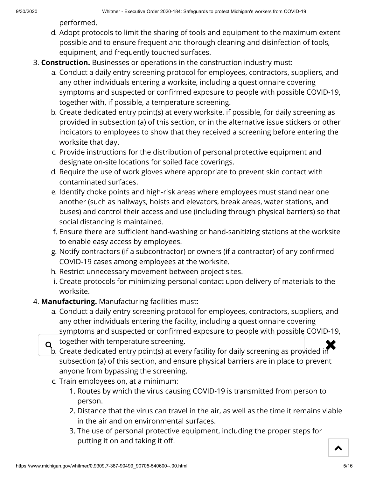performed.

- d. Adopt protocols to limit the sharing of tools and equipment to the maximum extent possible and to ensure frequent and thorough cleaning and disinfection of tools, equipment, and frequently touched surfaces.
- 3. **Construction.** Businesses or operations in the construction industry must:
	- a. Conduct a daily entry screening protocol for employees, contractors, suppliers, and any other individuals entering a worksite, including a questionnaire covering symptoms and suspected or confirmed exposure to people with possible COVID-19, together with, if possible, a temperature screening.
	- b. Create dedicated entry point(s) at every worksite, if possible, for daily screening as provided in subsection (a) of this section, or in the alternative issue stickers or other indicators to employees to show that they received a screening before entering the worksite that day.
	- c. Provide instructions for the distribution of personal protective equipment and designate on-site locations for soiled face coverings.
	- d. Require the use of work gloves where appropriate to prevent skin contact with contaminated surfaces.
	- e. Identify choke points and high-risk areas where employees must stand near one another (such as hallways, hoists and elevators, break areas, water stations, and buses) and control their access and use (including through physical barriers) so that social distancing is maintained.
	- f. Ensure there are sufficient hand-washing or hand-sanitizing stations at the worksite to enable easy access by employees.
	- g. Notify contractors (if a subcontractor) or owners (if a contractor) of any confirmed COVID-19 cases among employees at the worksite.
	- h. Restrict unnecessary movement between project sites.
	- i. Create protocols for minimizing personal contact upon delivery of materials to the worksite.
- 4. **Manufacturing.** Manufacturing facilities must:
	- a. Conduct a daily entry screening protocol for employees, contractors, suppliers, and any other individuals entering the facility, including a questionnaire covering symptoms and suspected or confirmed exposure to people with possible COVID-19,

together with temperature screening.

- $\alpha$  together with temperature screening.<br>b. Create dedicated entry point(s) at every facility for daily screening as provided in subsection (a) of this section, and ensure physical barriers are in place to prevent anyone from bypassing the screening.
	- c. Train employees on, at a minimum:
		- 1. Routes by which the virus causing COVID-19 is transmitted from person to person.
		- 2. Distance that the virus can travel in the air, as well as the time it remains viable in the air and on environmental surfaces.
		- 3. The use of personal protective equipment, including the proper steps for putting it on and taking it off.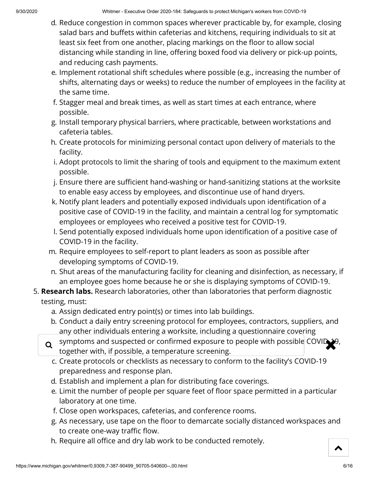- d. Reduce congestion in common spaces wherever practicable by, for example, closing salad bars and buffets within cafeterias and kitchens, requiring individuals to sit at least six feet from one another, placing markings on the floor to allow social distancing while standing in line, offering boxed food via delivery or pick-up points, and reducing cash payments.
- e. Implement rotational shift schedules where possible (e.g., increasing the number of shifts, alternating days or weeks) to reduce the number of employees in the facility at the same time.
- f. Stagger meal and break times, as well as start times at each entrance, where possible.
- g. Install temporary physical barriers, where practicable, between workstations and cafeteria tables.
- h. Create protocols for minimizing personal contact upon delivery of materials to the facility.
- i. Adopt protocols to limit the sharing of tools and equipment to the maximum extent possible.
- j. Ensure there are sufficient hand-washing or hand-sanitizing stations at the worksite to enable easy access by employees, and discontinue use of hand dryers.
- k. Notify plant leaders and potentially exposed individuals upon identification of a positive case of COVID-19 in the facility, and maintain a central log for symptomatic employees or employees who received a positive test for COVID-19.
- l. Send potentially exposed individuals home upon identication of a positive case of COVID-19 in the facility.
- m. Require employees to self-report to plant leaders as soon as possible after developing symptoms of COVID-19.
- n. Shut areas of the manufacturing facility for cleaning and disinfection, as necessary, if an employee goes home because he or she is displaying symptoms of COVID-19.
- 5. **Research labs.** Research laboratories, other than laboratories that perform diagnostic testing, must:
	- a. Assign dedicated entry point(s) or times into lab buildings.
	- b. Conduct a daily entry screening protocol for employees, contractors, suppliers, and any other individuals entering a worksite, including a questionnaire covering
	- $\alpha$  symptoms and suspected or confirmed exposure to people with possible COVID-19,<br>together with if possible a temperature screening together with, if possible, a temperature screening.
		- c. Create protocols or checklists as necessary to conform to the facility's COVID-19 preparedness and response plan.
		- d. Establish and implement a plan for distributing face coverings.
		- e. Limit the number of people per square feet of floor space permitted in a particular laboratory at one time.
		- f. Close open workspaces, cafeterias, and conference rooms.
		- g. As necessary, use tape on the floor to demarcate socially distanced workspaces and to create one-way traffic flow.
		- h. Require all office and dry lab work to be conducted remotely.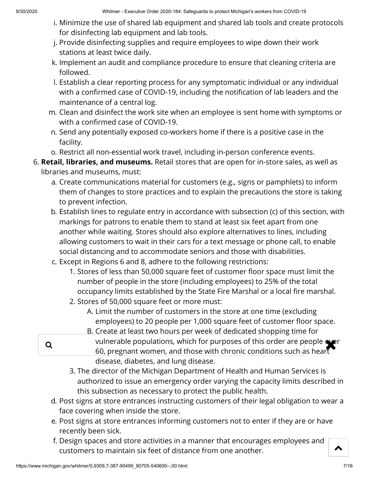- i. Minimize the use of shared lab equipment and shared lab tools and create protocols for disinfecting lab equipment and lab tools.
- j. Provide disinfecting supplies and require employees to wipe down their work stations at least twice daily.
- k. Implement an audit and compliance procedure to ensure that cleaning criteria are followed.
- l. Establish a clear reporting process for any symptomatic individual or any individual with a confirmed case of COVID-19, including the notification of lab leaders and the maintenance of a central log.
- m. Clean and disinfect the work site when an employee is sent home with symptoms or with a confirmed case of COVID-19.
- n. Send any potentially exposed co-workers home if there is a positive case in the facility.
- o. Restrict all non-essential work travel, including in-person conference events.
- 6. **Retail, libraries, and museums.** Retail stores that are open for in-store sales, as well as libraries and museums, must:
	- a. Create communications material for customers (e.g., signs or pamphlets) to inform them of changes to store practices and to explain the precautions the store is taking to prevent infection.
	- b. Establish lines to regulate entry in accordance with subsection (c) of this section, with markings for patrons to enable them to stand at least six feet apart from one another while waiting. Stores should also explore alternatives to lines, including allowing customers to wait in their cars for a text message or phone call, to enable social distancing and to accommodate seniors and those with disabilities.
	- c. Except in Regions 6 and 8, adhere to the following restrictions:
		- 1. Stores of less than 50,000 square feet of customer floor space must limit the number of people in the store (including employees) to 25% of the total occupancy limits established by the State Fire Marshal or a local fire marshal.
		- 2. Stores of 50,000 square feet or more must:
			- A. Limit the number of customers in the store at one time (excluding employees) to 20 people per 1,000 square feet of customer floor space.
	- B. Create at least two hours per week of dedicated shopping time for q vulnerable populations, which for purposes of this order are people over<br>60. pregnant women, and those with chronic conditions such as bear 60, pregnant women, and those with chronic conditions such as heart disease, diabetes, and lung disease.
		- 3. The director of the Michigan Department of Health and Human Services is authorized to issue an emergency order varying the capacity limits described in this subsection as necessary to protect the public health.
		- d. Post signs at store entrances instructing customers of their legal obligation to wear a face covering when inside the store.
		- e. Post signs at store entrances informing customers not to enter if they are or have recently been sick.
		- f. Design spaces and store activities in a manner that encourages employees and customers to maintain six feet of distance from one another.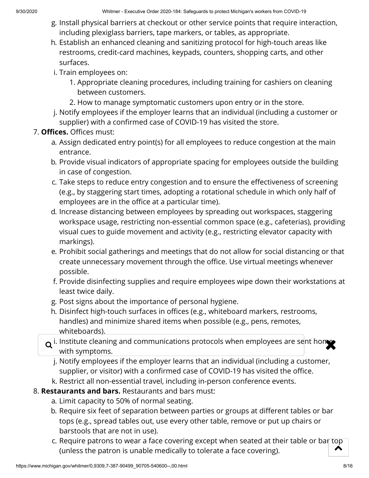- g. Install physical barriers at checkout or other service points that require interaction, including plexiglass barriers, tape markers, or tables, as appropriate.
- h. Establish an enhanced cleaning and sanitizing protocol for high-touch areas like restrooms, credit-card machines, keypads, counters, shopping carts, and other surfaces.
- i. Train employees on:
	- 1. Appropriate cleaning procedures, including training for cashiers on cleaning between customers.
	- 2. How to manage symptomatic customers upon entry or in the store.
- j. Notify employees if the employer learns that an individual (including a customer or supplier) with a confirmed case of COVID-19 has visited the store.

## 7. **Offices.** Offices must:

- a. Assign dedicated entry point(s) for all employees to reduce congestion at the main entrance.
- b. Provide visual indicators of appropriate spacing for employees outside the building in case of congestion.
- c. Take steps to reduce entry congestion and to ensure the effectiveness of screening (e.g., by staggering start times, adopting a rotational schedule in which only half of employees are in the office at a particular time).
- d. Increase distancing between employees by spreading out workspaces, staggering workspace usage, restricting non-essential common space (e.g., cafeterias), providing visual cues to guide movement and activity (e.g., restricting elevator capacity with markings).
- e. Prohibit social gatherings and meetings that do not allow for social distancing or that create unnecessary movement through the office. Use virtual meetings whenever possible.
- f. Provide disinfecting supplies and require employees wipe down their workstations at least twice daily.
- g. Post signs about the importance of personal hygiene.
- h. Disinfect high-touch surfaces in offices (e.g., whiteboard markers, restrooms, handles) and minimize shared items when possible (e.g., pens, remotes, whiteboards).
- $\mathsf q$  i. Institute cleaning and communications protocols when employees are sent homes with symptoms.
	- j. Notify employees if the employer learns that an individual (including a customer, supplier, or visitor) with a confirmed case of COVID-19 has visited the office.
- k. Restrict all non-essential travel, including in-person conference events.
- 8. **Restaurants and bars.** Restaurants and bars must:
	- a. Limit capacity to 50% of normal seating.
	- b. Require six feet of separation between parties or groups at different tables or bar tops (e.g., spread tables out, use every other table, remove or put up chairs or barstools that are not in use).
	- c. Require patrons to wear a face covering except when seated at their table or bar top  $\overline{\phantom{a}}$ (unless the patron is unable medically to tolerate a face covering).  $\lambda$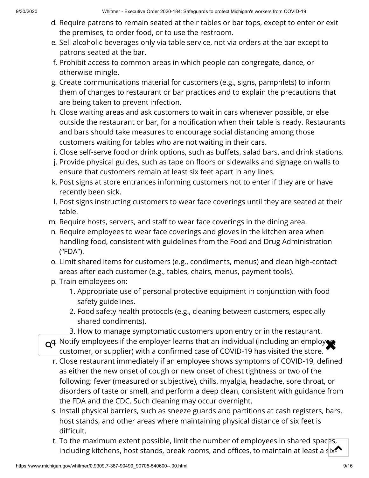- d. Require patrons to remain seated at their tables or bar tops, except to enter or exit the premises, to order food, or to use the restroom.
- e. Sell alcoholic beverages only via table service, not via orders at the bar except to patrons seated at the bar.
- f. Prohibit access to common areas in which people can congregate, dance, or otherwise mingle.
- g. Create communications material for customers (e.g., signs, pamphlets) to inform them of changes to restaurant or bar practices and to explain the precautions that are being taken to prevent infection.
- h. Close waiting areas and ask customers to wait in cars whenever possible, or else outside the restaurant or bar, for a notification when their table is ready. Restaurants and bars should take measures to encourage social distancing among those customers waiting for tables who are not waiting in their cars.
- i. Close self-serve food or drink options, such as buffets, salad bars, and drink stations.
- j. Provide physical guides, such as tape on floors or sidewalks and signage on walls to ensure that customers remain at least six feet apart in any lines.
- k. Post signs at store entrances informing customers not to enter if they are or have recently been sick.
- l. Post signs instructing customers to wear face coverings until they are seated at their table.
- m. Require hosts, servers, and staff to wear face coverings in the dining area.
- n. Require employees to wear face coverings and gloves in the kitchen area when handling food, consistent with guidelines from the Food and Drug Administration ("FDA").
- o. Limit shared items for customers (e.g., condiments, menus) and clean high-contact areas after each customer (e.g., tables, chairs, menus, payment tools).
- p. Train employees on:
	- 1. Appropriate use of personal protective equipment in conjunction with food safety guidelines.
	- 2. Food safety health protocols (e.g., cleaning between customers, especially shared condiments).
	- 3. How to manage symptomatic customers upon entry or in the restaurant.
- $\alpha^{q}$ . Notify employees if the employer learns that an individual (including an employ  $\alpha$ , customer, or supplier) with a confirmed case of COVID-19 has visited the store customer, or supplier) with a confirmed case of COVID-19 has visited the store.
	- r. Close restaurant immediately if an employee shows symptoms of COVID-19, defined as either the new onset of cough or new onset of chest tightness or two of the following: fever (measured or subjective), chills, myalgia, headache, sore throat, or disorders of taste or smell, and perform a deep clean, consistent with guidance from the FDA and the CDC. Such cleaning may occur overnight.
	- s. Install physical barriers, such as sneeze guards and partitions at cash registers, bars, host stands, and other areas where maintaining physical distance of six feet is difficult.
	- t. To the maximum extent possible, limit the number of employees in shared spaces, including kitchens, host stands, break rooms, and offices, to maintain at least a six<sup>2</sup>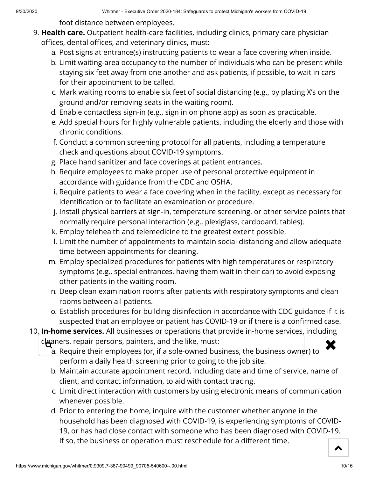foot distance between employees.

- 9. **Health care.** Outpatient health-care facilities, including clinics, primary care physician offices, dental offices, and veterinary clinics, must:
	- a. Post signs at entrance(s) instructing patients to wear a face covering when inside.
	- b. Limit waiting-area occupancy to the number of individuals who can be present while staying six feet away from one another and ask patients, if possible, to wait in cars for their appointment to be called.
	- c. Mark waiting rooms to enable six feet of social distancing (e.g., by placing X's on the ground and/or removing seats in the waiting room).
	- d. Enable contactless sign-in (e.g., sign in on phone app) as soon as practicable.
	- e. Add special hours for highly vulnerable patients, including the elderly and those with chronic conditions.
	- f. Conduct a common screening protocol for all patients, including a temperature check and questions about COVID-19 symptoms.
	- g. Place hand sanitizer and face coverings at patient entrances.
	- h. Require employees to make proper use of personal protective equipment in accordance with guidance from the CDC and OSHA.
	- i. Require patients to wear a face covering when in the facility, except as necessary for identification or to facilitate an examination or procedure.
	- j. Install physical barriers at sign-in, temperature screening, or other service points that normally require personal interaction (e.g., plexiglass, cardboard, tables).
	- k. Employ telehealth and telemedicine to the greatest extent possible.
	- l. Limit the number of appointments to maintain social distancing and allow adequate time between appointments for cleaning.
	- m. Employ specialized procedures for patients with high temperatures or respiratory symptoms (e.g., special entrances, having them wait in their car) to avoid exposing other patients in the waiting room.
	- n. Deep clean examination rooms after patients with respiratory symptoms and clean rooms between all patients.
	- o. Establish procedures for building disinfection in accordance with CDC guidance if it is suspected that an employee or patient has COVID-19 or if there is a confirmed case.
- 10. **In-home services.** All businesses or operations that provide in-home services, including
	-
	- $\epsilon$  cleaners, repair persons, painters, and the like, must:<br>a Require their employees (or if a sole-owned business, the business owner) to a. Require their employees (or, if a sole-owned business, the business owner) to perform a daily health screening prior to going to the job site.
		- b. Maintain accurate appointment record, including date and time of service, name of client, and contact information, to aid with contact tracing.
		- c. Limit direct interaction with customers by using electronic means of communication whenever possible.
		- d. Prior to entering the home, inquire with the customer whether anyone in the household has been diagnosed with COVID-19, is experiencing symptoms of COVID-19, or has had close contact with someone who has been diagnosed with COVID-19. If so, the business or operation must reschedule for a different time.  $\blacktriangle$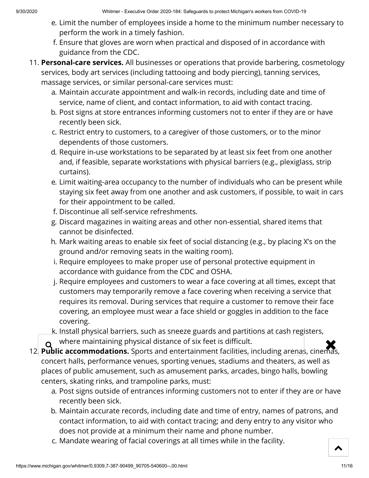- e. Limit the number of employees inside a home to the minimum number necessary to perform the work in a timely fashion.
- f. Ensure that gloves are worn when practical and disposed of in accordance with guidance from the CDC.
- 11. **Personal-care services.** All businesses or operations that provide barbering, cosmetology services, body art services (including tattooing and body piercing), tanning services, massage services, or similar personal-care services must:
	- a. Maintain accurate appointment and walk-in records, including date and time of service, name of client, and contact information, to aid with contact tracing.
	- b. Post signs at store entrances informing customers not to enter if they are or have recently been sick.
	- c. Restrict entry to customers, to a caregiver of those customers, or to the minor dependents of those customers.
	- d. Require in-use workstations to be separated by at least six feet from one another and, if feasible, separate workstations with physical barriers (e.g., plexiglass, strip curtains).
	- e. Limit waiting-area occupancy to the number of individuals who can be present while staying six feet away from one another and ask customers, if possible, to wait in cars for their appointment to be called.
	- f. Discontinue all self-service refreshments.
	- g. Discard magazines in waiting areas and other non-essential, shared items that cannot be disinfected.
	- h. Mark waiting areas to enable six feet of social distancing (e.g., by placing X's on the ground and/or removing seats in the waiting room).
	- i. Require employees to make proper use of personal protective equipment in accordance with guidance from the CDC and OSHA.
	- j. Require employees and customers to wear a face covering at all times, except that customers may temporarily remove a face covering when receiving a service that requires its removal. During services that require a customer to remove their face covering, an employee must wear a face shield or goggles in addition to the face covering.
	- k. Install physical barriers, such as sneeze guards and partitions at cash registers, where maintaining physical distance of six feet is difficult.
- **2. If you are maintaining physical distance of six feet is difficult.**<br>12. **Public accommodations.** Sports and entertainment facilities, including arenas, cinemas, concert halls, performance venues, sporting venues, stadiums and theaters, as well as places of public amusement, such as amusement parks, arcades, bingo halls, bowling centers, skating rinks, and trampoline parks, must:
	- a. Post signs outside of entrances informing customers not to enter if they are or have recently been sick.
	- b. Maintain accurate records, including date and time of entry, names of patrons, and contact information, to aid with contact tracing; and deny entry to any visitor who does not provide at a minimum their name and phone number.
	- c. Mandate wearing of facial coverings at all times while in the facility.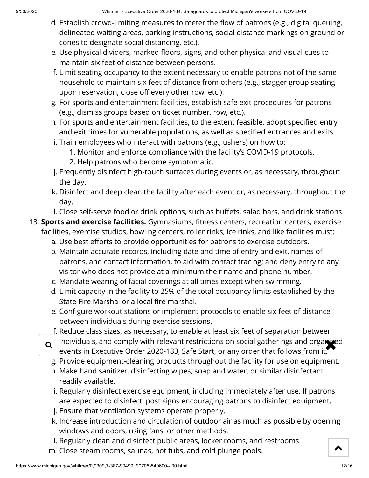- d. Establish crowd-limiting measures to meter the flow of patrons (e.g., digital queuing, delineated waiting areas, parking instructions, social distance markings on ground or cones to designate social distancing, etc.).
- e. Use physical dividers, marked floors, signs, and other physical and visual cues to maintain six feet of distance between persons.
- f. Limit seating occupancy to the extent necessary to enable patrons not of the same household to maintain six feet of distance from others (e.g., stagger group seating upon reservation, close off every other row, etc.).
- g. For sports and entertainment facilities, establish safe exit procedures for patrons (e.g., dismiss groups based on ticket number, row, etc.).
- h. For sports and entertainment facilities, to the extent feasible, adopt specified entry and exit times for vulnerable populations, as well as specified entrances and exits.
- i. Train employees who interact with patrons (e.g., ushers) on how to:
	- 1. Monitor and enforce compliance with the facility's COVID-19 protocols.
	- 2. Help patrons who become symptomatic.
- j. Frequently disinfect high-touch surfaces during events or, as necessary, throughout the day.
- k. Disinfect and deep clean the facility after each event or, as necessary, throughout the day.
- l. Close self-serve food or drink options, such as buffets, salad bars, and drink stations.
- 13. **Sports and exercise facilities.** Gymnasiums, fitness centers, recreation centers, exercise facilities, exercise studios, bowling centers, roller rinks, ice rinks, and like facilities must:
	- a. Use best efforts to provide opportunities for patrons to exercise outdoors.
	- b. Maintain accurate records, including date and time of entry and exit, names of patrons, and contact information, to aid with contact tracing; and deny entry to any visitor who does not provide at a minimum their name and phone number.
	- c. Mandate wearing of facial coverings at all times except when swimming.
	- d. Limit capacity in the facility to 25% of the total occupancy limits established by the State Fire Marshal or a local fire marshal.
	- e. Configure workout stations or implement protocols to enable six feet of distance between individuals during exercise sessions.
	- f. Reduce class sizes, as necessary, to enable at least six feet of separation between
	- q individuals, and comply with relevant restrictions on social gatherings and organized<br>events in Executive Order 2020-183, Safe Start, or any order that follows from it events in Executive Order 2020-183, Safe Start, or any order that follows from it.
		- g. Provide equipment-cleaning products throughout the facility for use on equipment.
		- h. Make hand sanitizer, disinfecting wipes, soap and water, or similar disinfectant readily available.
		- i. Regularly disinfect exercise equipment, including immediately after use. If patrons are expected to disinfect, post signs encouraging patrons to disinfect equipment.
		- j. Ensure that ventilation systems operate properly.
		- k. Increase introduction and circulation of outdoor air as much as possible by opening windows and doors, using fans, or other methods.
		- l. Regularly clean and disinfect public areas, locker rooms, and restrooms.
	- m. Close steam rooms, saunas, hot tubs, and cold plunge pools.

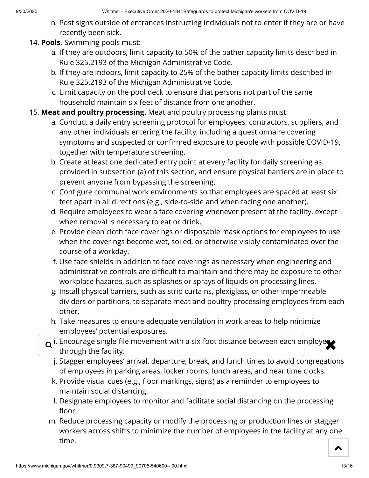- n. Post signs outside of entrances instructing individuals not to enter if they are or have recently been sick.
- 14. **Pools.** Swimming pools must:
	- a. If they are outdoors, limit capacity to 50% of the bather capacity limits described in Rule 325.2193 of the Michigan Administrative Code.
	- b. If they are indoors, limit capacity to 25% of the bather capacity limits described in Rule 325.2193 of the Michigan Administrative Code.
	- c. Limit capacity on the pool deck to ensure that persons not part of the same household maintain six feet of distance from one another.
- 15. **Meat and poultry processing.** Meat and poultry processing plants must:
	- a. Conduct a daily entry screening protocol for employees, contractors, suppliers, and any other individuals entering the facility, including a questionnaire covering symptoms and suspected or confirmed exposure to people with possible COVID-19, together with temperature screening.
	- b. Create at least one dedicated entry point at every facility for daily screening as provided in subsection (a) of this section, and ensure physical barriers are in place to prevent anyone from bypassing the screening.
	- c. Configure communal work environments so that employees are spaced at least six feet apart in all directions (e.g., side-to-side and when facing one another).
	- d. Require employees to wear a face covering whenever present at the facility, except when removal is necessary to eat or drink.
	- e. Provide clean cloth face coverings or disposable mask options for employees to use when the coverings become wet, soiled, or otherwise visibly contaminated over the course of a workday.
	- f. Use face shields in addition to face coverings as necessary when engineering and administrative controls are difficult to maintain and there may be exposure to other workplace hazards, such as splashes or sprays of liquids on processing lines.
	- g. Install physical barriers, such as strip curtains, plexiglass, or other impermeable dividers or partitions, to separate meat and poultry processing employees from each other.
	- h. Take measures to ensure adequate ventilation in work areas to help minimize employees' potential exposures.
	- $\alpha$  i. Encourage single-file movement with a six-foot distance between each employes through the facility.
		- j. Stagger employees' arrival, departure, break, and lunch times to avoid congregations of employees in parking areas, locker rooms, lunch areas, and near time clocks.
		- k. Provide visual cues (e.g., floor markings, signs) as a reminder to employees to maintain social distancing.
		- l. Designate employees to monitor and facilitate social distancing on the processing floor.
	- m. Reduce processing capacity or modify the processing or production lines or stagger workers across shifts to minimize the number of employees in the facility at any one time.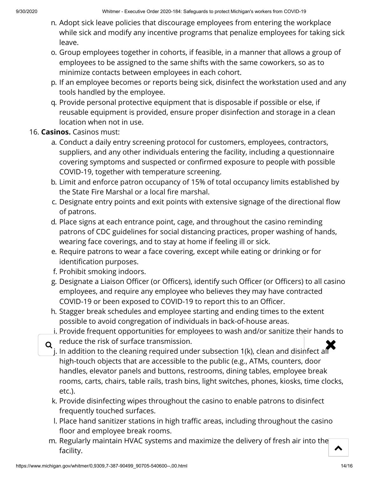- n. Adopt sick leave policies that discourage employees from entering the workplace while sick and modify any incentive programs that penalize employees for taking sick leave.
- o. Group employees together in cohorts, if feasible, in a manner that allows a group of employees to be assigned to the same shifts with the same coworkers, so as to minimize contacts between employees in each cohort.
- p. If an employee becomes or reports being sick, disinfect the workstation used and any tools handled by the employee.
- q. Provide personal protective equipment that is disposable if possible or else, if reusable equipment is provided, ensure proper disinfection and storage in a clean location when not in use.

## 16. **Casinos.** Casinos must:

- a. Conduct a daily entry screening protocol for customers, employees, contractors, suppliers, and any other individuals entering the facility, including a questionnaire covering symptoms and suspected or confirmed exposure to people with possible COVID-19, together with temperature screening.
- b. Limit and enforce patron occupancy of 15% of total occupancy limits established by the State Fire Marshal or a local fire marshal.
- c. Designate entry points and exit points with extensive signage of the directional flow of patrons.
- d. Place signs at each entrance point, cage, and throughout the casino reminding patrons of CDC guidelines for social distancing practices, proper washing of hands, wearing face coverings, and to stay at home if feeling ill or sick.
- e. Require patrons to wear a face covering, except while eating or drinking or for identification purposes.
- f. Prohibit smoking indoors.
- g. Designate a Liaison Officer (or Officers), identify such Officer (or Officers) to all casino employees, and require any employee who believes they may have contracted COVID-19 or been exposed to COVID-19 to report this to an Officer.
- h. Stagger break schedules and employee starting and ending times to the extent possible to avoid congregation of individuals in back-of-house areas.
- i. Provide frequent opportunities for employees to wash and/or sanitize their hands to
- reduce the risk of surface transmission.
- $\mathsf q$  reduce the risk of surface transmission.<br>i. In addition to the cleaning required under subsection 1(k), clean and disinfect all high-touch objects that are accessible to the public (e.g., ATMs, counters, door handles, elevator panels and buttons, restrooms, dining tables, employee break rooms, carts, chairs, table rails, trash bins, light switches, phones, kiosks, time clocks, etc.).
	- k. Provide disinfecting wipes throughout the casino to enable patrons to disinfect frequently touched surfaces.
	- I. Place hand sanitizer stations in high traffic areas, including throughout the casino floor and employee break rooms.
- m. Regularly maintain HVAC systems and maximize the delivery of fresh air into the facility.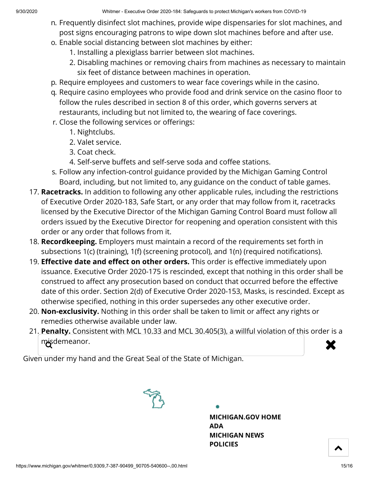- n. Frequently disinfect slot machines, provide wipe dispensaries for slot machines, and post signs encouraging patrons to wipe down slot machines before and after use.
- o. Enable social distancing between slot machines by either:
	- 1. Installing a plexiglass barrier between slot machines.
	- 2. Disabling machines or removing chairs from machines as necessary to maintain six feet of distance between machines in operation.
- p. Require employees and customers to wear face coverings while in the casino.
- q. Require casino employees who provide food and drink service on the casino floor to follow the rules described in section 8 of this order, which governs servers at restaurants, including but not limited to, the wearing of face coverings.
- r. Close the following services or offerings:
	- 1. Nightclubs.
	- 2. Valet service.
	- 3. Coat check.
	- 4. Self-serve buffets and self-serve soda and coffee stations.
- s. Follow any infection-control guidance provided by the Michigan Gaming Control Board, including, but not limited to, any guidance on the conduct of table games.
- 17. **Racetracks.** In addition to following any other applicable rules, including the restrictions of Executive Order 2020-183, Safe Start, or any order that may follow from it, racetracks licensed by the Executive Director of the Michigan Gaming Control Board must follow all orders issued by the Executive Director for reopening and operation consistent with this order or any order that follows from it.
- 18. **Recordkeeping.** Employers must maintain a record of the requirements set forth in subsections 1(c) (training), 1(f) (screening protocol), and 1(n) (required notifications).
- 19. **Effective date and effect on other orders.** This order is effective immediately upon issuance. Executive Order 2020-175 is rescinded, except that nothing in this order shall be construed to affect any prosecution based on conduct that occurred before the effective date of this order. Section 2(d) of Executive Order 2020-153, Masks, is rescinded. Except as otherwise specified, nothing in this order supersedes any other executive order.
- 20. **Non-exclusivity.** Nothing in this order shall be taken to limit or affect any rights or remedies otherwise available under law.
- 21. **Penalty.** Consistent with MCL 10.33 and MCL 30.405(3), a willful violation of this order is a misdemeanor.  $\mathbf x$

Given under my hand and the Great Seal of the State of Michigan.



**[MICHIGAN.GOV](https://www.michigan.gov/) HOME [ADA](https://www.michigan.gov/adaform) [MICHIGAN NEWS](https://www.michigan.gov/minewswire) [POLICIES](https://www.michigan.gov/whitmer/0,9309,7-387--281460--,00.html)**